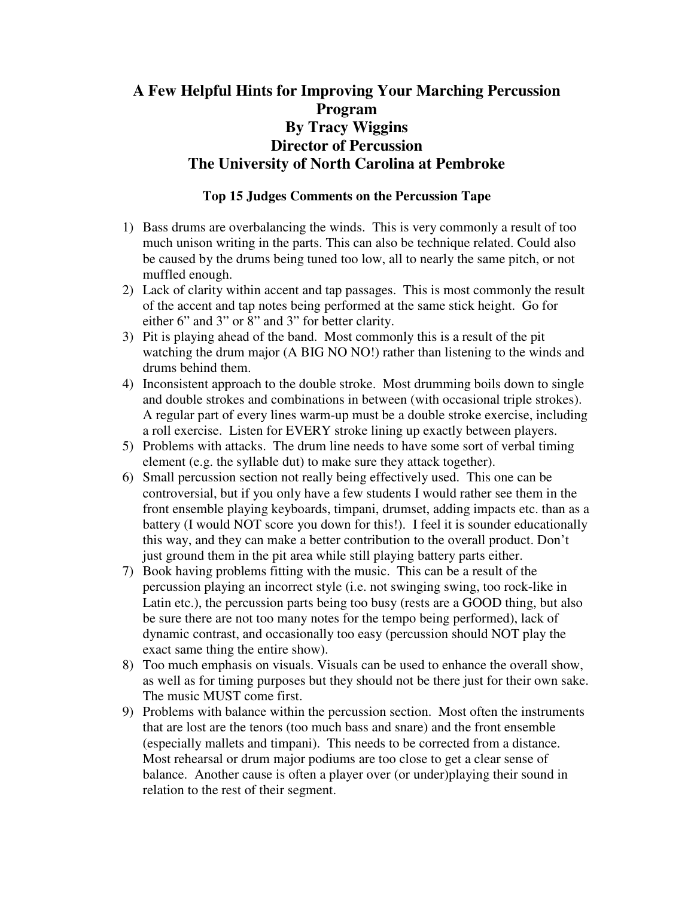# **A Few Helpful Hints for Improving Your Marching Percussion Program By Tracy Wiggins Director of Percussion The University of North Carolina at Pembroke**

## **Top 15 Judges Comments on the Percussion Tape**

- 1) Bass drums are overbalancing the winds. This is very commonly a result of too much unison writing in the parts. This can also be technique related. Could also be caused by the drums being tuned too low, all to nearly the same pitch, or not muffled enough.
- 2) Lack of clarity within accent and tap passages. This is most commonly the result of the accent and tap notes being performed at the same stick height. Go for either 6" and 3" or 8" and 3" for better clarity.
- 3) Pit is playing ahead of the band. Most commonly this is a result of the pit watching the drum major (A BIG NO NO!) rather than listening to the winds and drums behind them.
- 4) Inconsistent approach to the double stroke. Most drumming boils down to single and double strokes and combinations in between (with occasional triple strokes). A regular part of every lines warm-up must be a double stroke exercise, including a roll exercise. Listen for EVERY stroke lining up exactly between players.
- 5) Problems with attacks. The drum line needs to have some sort of verbal timing element (e.g. the syllable dut) to make sure they attack together).
- 6) Small percussion section not really being effectively used. This one can be controversial, but if you only have a few students I would rather see them in the front ensemble playing keyboards, timpani, drumset, adding impacts etc. than as a battery (I would NOT score you down for this!). I feel it is sounder educationally this way, and they can make a better contribution to the overall product. Don't just ground them in the pit area while still playing battery parts either.
- 7) Book having problems fitting with the music. This can be a result of the percussion playing an incorrect style (i.e. not swinging swing, too rock-like in Latin etc.), the percussion parts being too busy (rests are a GOOD thing, but also be sure there are not too many notes for the tempo being performed), lack of dynamic contrast, and occasionally too easy (percussion should NOT play the exact same thing the entire show).
- 8) Too much emphasis on visuals. Visuals can be used to enhance the overall show, as well as for timing purposes but they should not be there just for their own sake. The music MUST come first.
- 9) Problems with balance within the percussion section. Most often the instruments that are lost are the tenors (too much bass and snare) and the front ensemble (especially mallets and timpani). This needs to be corrected from a distance. Most rehearsal or drum major podiums are too close to get a clear sense of balance. Another cause is often a player over (or under)playing their sound in relation to the rest of their segment.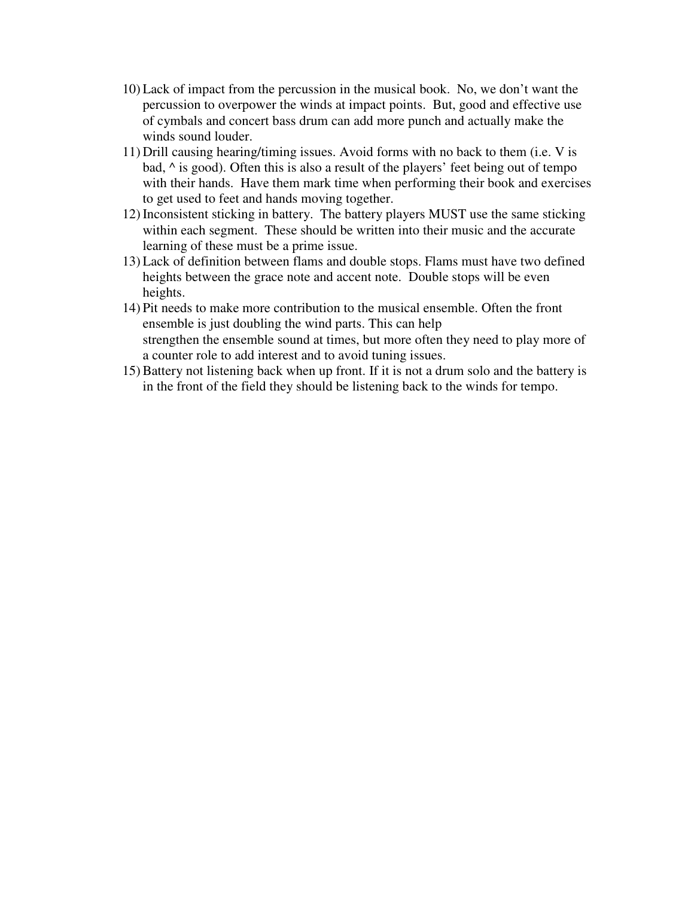- 10) Lack of impact from the percussion in the musical book. No, we don't want the percussion to overpower the winds at impact points. But, good and effective use of cymbals and concert bass drum can add more punch and actually make the winds sound louder.
- 11) Drill causing hearing/timing issues. Avoid forms with no back to them (i.e. V is bad, ^ is good). Often this is also a result of the players' feet being out of tempo with their hands. Have them mark time when performing their book and exercises to get used to feet and hands moving together.
- 12) Inconsistent sticking in battery. The battery players MUST use the same sticking within each segment. These should be written into their music and the accurate learning of these must be a prime issue.
- 13) Lack of definition between flams and double stops. Flams must have two defined heights between the grace note and accent note. Double stops will be even heights.
- 14) Pit needs to make more contribution to the musical ensemble. Often the front ensemble is just doubling the wind parts. This can help strengthen the ensemble sound at times, but more often they need to play more of a counter role to add interest and to avoid tuning issues.
- 15) Battery not listening back when up front. If it is not a drum solo and the battery is in the front of the field they should be listening back to the winds for tempo.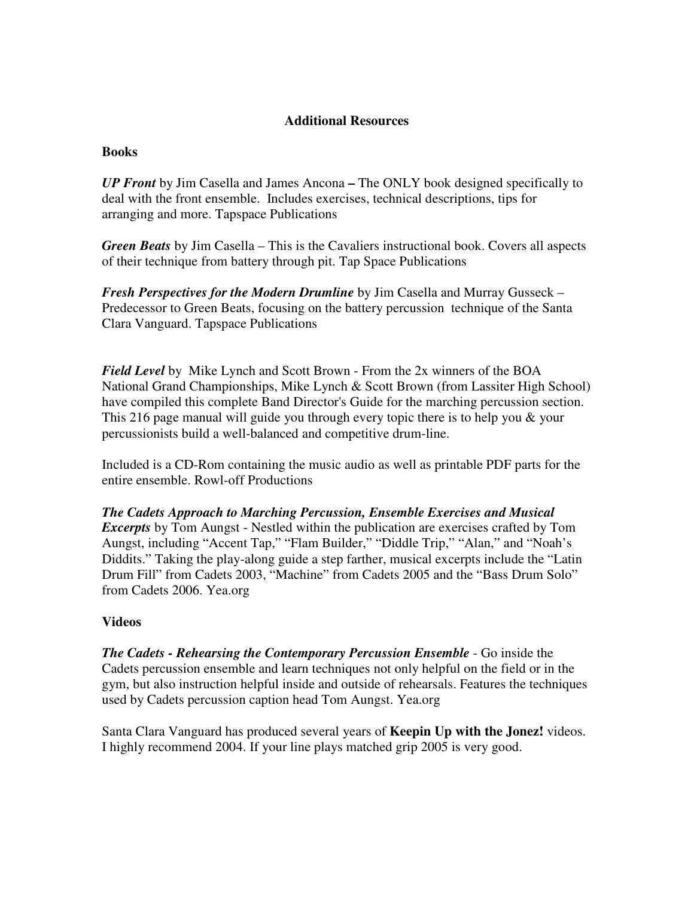## **Additional Resources**

### **Books**

*UP Front* by Jim Casella and James Ancona **–** The ONLY book designed specifically to deal with the front ensemble. Includes exercises, technical descriptions, tips for arranging and more. Tapspace Publications

*Green Beats* by Jim Casella – This is the Cavaliers instructional book. Covers all aspects of their technique from battery through pit. Tap Space Publications

*Fresh Perspectives for the Modern Drumline* by Jim Casella and Murray Gusseck – Predecessor to Green Beats, focusing on the battery percussion technique of the Santa Clara Vanguard. Tapspace Publications

*Field Level* by Mike Lynch and Scott Brown - From the 2x winners of the BOA National Grand Championships, Mike Lynch & Scott Brown (from Lassiter High School) have compiled this complete Band Director's Guide for the marching percussion section. This 216 page manual will guide you through every topic there is to help you & your percussionists build a well-balanced and competitive drum-line.

Included is a CD-Rom containing the music audio as well as printable PDF parts for the entire ensemble. Rowl-off Productions

*The Cadets Approach to Marching Percussion, Ensemble Exercises and Musical Excerpts* by Tom Aungst - Nestled within the publication are exercises crafted by Tom Aungst, including "Accent Tap," "Flam Builder," "Diddle Trip," "Alan," and "Noah's Diddits." Taking the play-along guide a step farther, musical excerpts include the "Latin Drum Fill" from Cadets 2003, "Machine" from Cadets 2005 and the "Bass Drum Solo" from Cadets 2006. Yea.org

### **Videos**

*The Cadets - Rehearsing the Contemporary Percussion Ensemble* - Go inside the Cadets percussion ensemble and learn techniques not only helpful on the field or in the gym, but also instruction helpful inside and outside of rehearsals. Features the techniques used by Cadets percussion caption head Tom Aungst. Yea.org

Santa Clara Vanguard has produced several years of **Keepin Up with the Jonez!** videos. I highly recommend 2004. If your line plays matched grip 2005 is very good.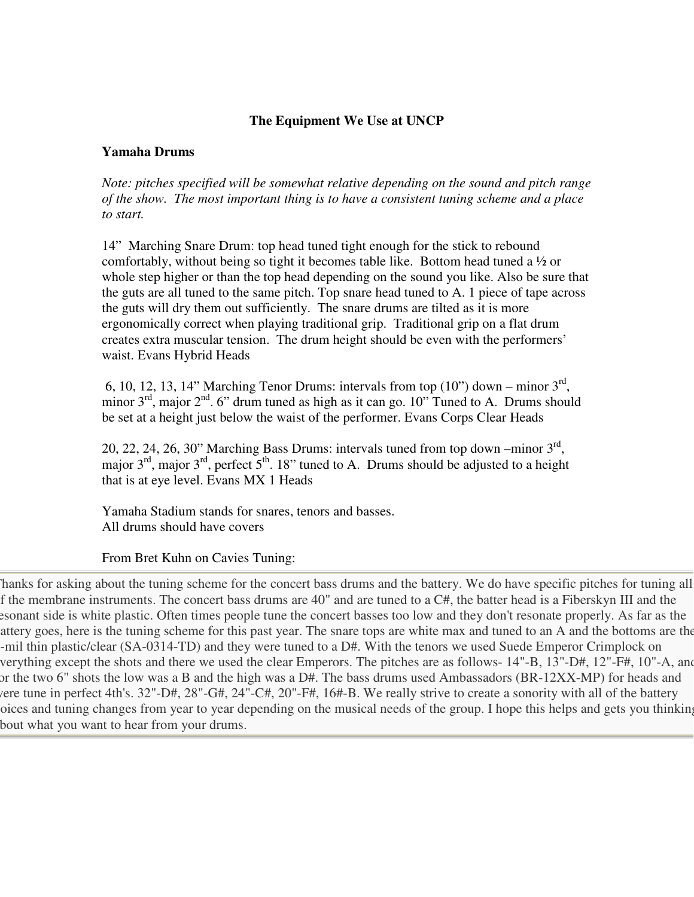# **The Equipment We Use at UNCP**

### **Yamaha Drums**

*Note: pitches specified will be somewhat relative depending on the sound and pitch range of the show. The most important thing is to have a consistent tuning scheme and a place to start.* 

14" Marching Snare Drum: top head tuned tight enough for the stick to rebound comfortably, without being so tight it becomes table like. Bottom head tuned a ½ or whole step higher or than the top head depending on the sound you like. Also be sure that the guts are all tuned to the same pitch. Top snare head tuned to A. 1 piece of tape across the guts will dry them out sufficiently. The snare drums are tilted as it is more ergonomically correct when playing traditional grip. Traditional grip on a flat drum creates extra muscular tension. The drum height should be even with the performers' waist. Evans Hybrid Heads

6, 10, 12, 13, 14" Marching Tenor Drums: intervals from top  $(10")$  down – minor  $3<sup>rd</sup>$ , minor  $3<sup>rd</sup>$ , major  $2<sup>nd</sup>$ . 6" drum tuned as high as it can go. 10" Tuned to A. Drums should be set at a height just below the waist of the performer. Evans Corps Clear Heads

20, 22, 24, 26, 30" Marching Bass Drums: intervals tuned from top down –minor  $3<sup>rd</sup>$ , major  $3^{rd}$ , major  $3^{rd}$ , perfect  $5^{th}$ . 18" tuned to A. Drums should be adjusted to a height that is at eye level. Evans MX 1 Heads

Yamaha Stadium stands for snares, tenors and basses. All drums should have covers

From Bret Kuhn on Cavies Tuning:

Thanks for asking about the tuning scheme for the concert bass drums and the battery. We do have specific pitches for tuning all f the membrane instruments. The concert bass drums are 40" and are tuned to a C#, the batter head is a Fiberskyn III and the esonant side is white plastic. Often times people tune the concert basses too low and they don't resonate properly. As far as the battery goes, here is the tuning scheme for this past year. The snare tops are white max and tuned to an A and the bottoms are the 3-mil thin plastic/clear (SA-0314-TD) and they were tuned to a D#. With the tenors we used Suede Emperor Crimplock on everything except the shots and there we used the clear Emperors. The pitches are as follows- 14"-B, 13"-D#, 12"-F#, 10"-A, and for the two 6" shots the low was a B and the high was a D#. The bass drums used Ambassadors (BR-12XX-MP) for heads and were tune in perfect 4th's. 32"-D#, 28"-G#, 24"-C#, 20"-F#, 16#-B. We really strive to create a sonority with all of the battery oices and tuning changes from year to year depending on the musical needs of the group. I hope this helps and gets you thinking bout what you want to hear from your drums.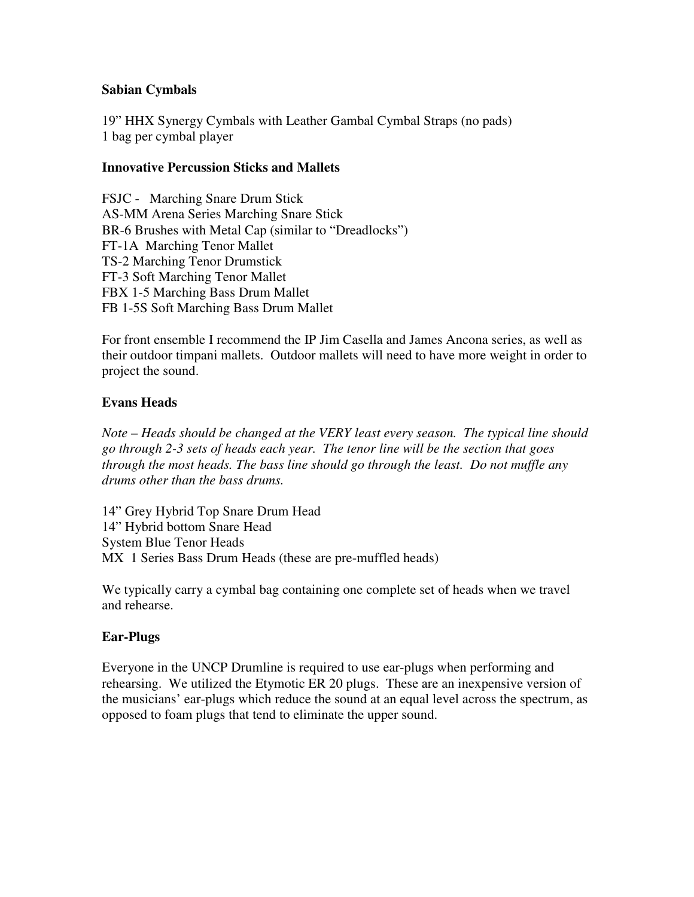## **Sabian Cymbals**

19" HHX Synergy Cymbals with Leather Gambal Cymbal Straps (no pads) 1 bag per cymbal player

### **Innovative Percussion Sticks and Mallets**

FSJC - Marching Snare Drum Stick AS-MM Arena Series Marching Snare Stick BR-6 Brushes with Metal Cap (similar to "Dreadlocks") FT-1A Marching Tenor Mallet TS-2 Marching Tenor Drumstick FT-3 Soft Marching Tenor Mallet FBX 1-5 Marching Bass Drum Mallet FB 1-5S Soft Marching Bass Drum Mallet

For front ensemble I recommend the IP Jim Casella and James Ancona series, as well as their outdoor timpani mallets. Outdoor mallets will need to have more weight in order to project the sound.

## **Evans Heads**

*Note – Heads should be changed at the VERY least every season. The typical line should go through 2-3 sets of heads each year. The tenor line will be the section that goes through the most heads. The bass line should go through the least. Do not muffle any drums other than the bass drums.* 

14" Grey Hybrid Top Snare Drum Head 14" Hybrid bottom Snare Head System Blue Tenor Heads MX 1 Series Bass Drum Heads (these are pre-muffled heads)

We typically carry a cymbal bag containing one complete set of heads when we travel and rehearse.

### **Ear-Plugs**

Everyone in the UNCP Drumline is required to use ear-plugs when performing and rehearsing. We utilized the Etymotic ER 20 plugs. These are an inexpensive version of the musicians' ear-plugs which reduce the sound at an equal level across the spectrum, as opposed to foam plugs that tend to eliminate the upper sound.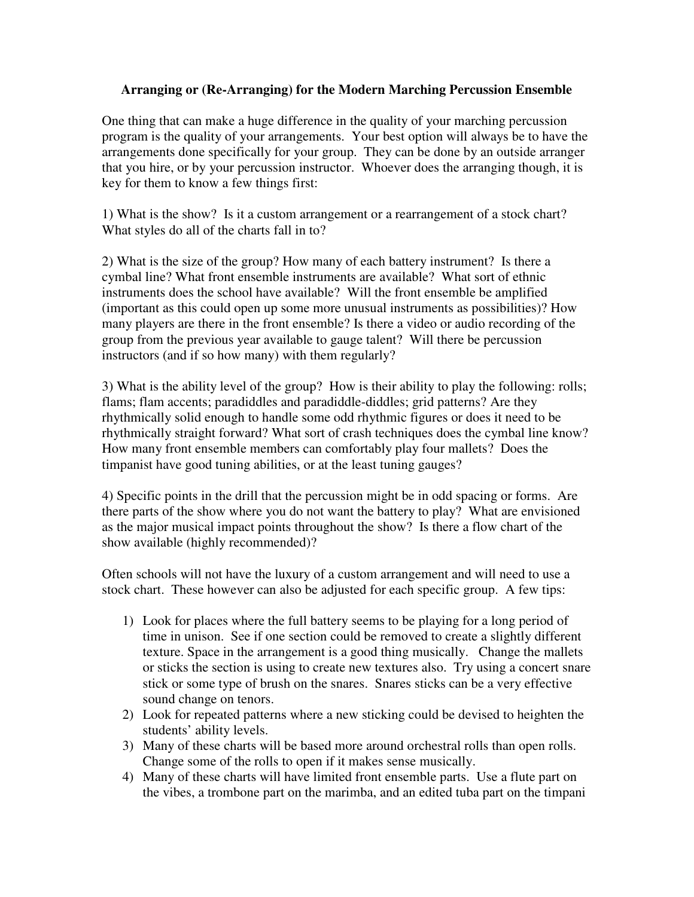### **Arranging or (Re-Arranging) for the Modern Marching Percussion Ensemble**

One thing that can make a huge difference in the quality of your marching percussion program is the quality of your arrangements. Your best option will always be to have the arrangements done specifically for your group. They can be done by an outside arranger that you hire, or by your percussion instructor. Whoever does the arranging though, it is key for them to know a few things first:

1) What is the show? Is it a custom arrangement or a rearrangement of a stock chart? What styles do all of the charts fall in to?

2) What is the size of the group? How many of each battery instrument? Is there a cymbal line? What front ensemble instruments are available? What sort of ethnic instruments does the school have available? Will the front ensemble be amplified (important as this could open up some more unusual instruments as possibilities)? How many players are there in the front ensemble? Is there a video or audio recording of the group from the previous year available to gauge talent? Will there be percussion instructors (and if so how many) with them regularly?

3) What is the ability level of the group? How is their ability to play the following: rolls; flams; flam accents; paradiddles and paradiddle-diddles; grid patterns? Are they rhythmically solid enough to handle some odd rhythmic figures or does it need to be rhythmically straight forward? What sort of crash techniques does the cymbal line know? How many front ensemble members can comfortably play four mallets? Does the timpanist have good tuning abilities, or at the least tuning gauges?

4) Specific points in the drill that the percussion might be in odd spacing or forms. Are there parts of the show where you do not want the battery to play? What are envisioned as the major musical impact points throughout the show? Is there a flow chart of the show available (highly recommended)?

Often schools will not have the luxury of a custom arrangement and will need to use a stock chart. These however can also be adjusted for each specific group. A few tips:

- 1) Look for places where the full battery seems to be playing for a long period of time in unison. See if one section could be removed to create a slightly different texture. Space in the arrangement is a good thing musically. Change the mallets or sticks the section is using to create new textures also. Try using a concert snare stick or some type of brush on the snares. Snares sticks can be a very effective sound change on tenors.
- 2) Look for repeated patterns where a new sticking could be devised to heighten the students' ability levels.
- 3) Many of these charts will be based more around orchestral rolls than open rolls. Change some of the rolls to open if it makes sense musically.
- 4) Many of these charts will have limited front ensemble parts. Use a flute part on the vibes, a trombone part on the marimba, and an edited tuba part on the timpani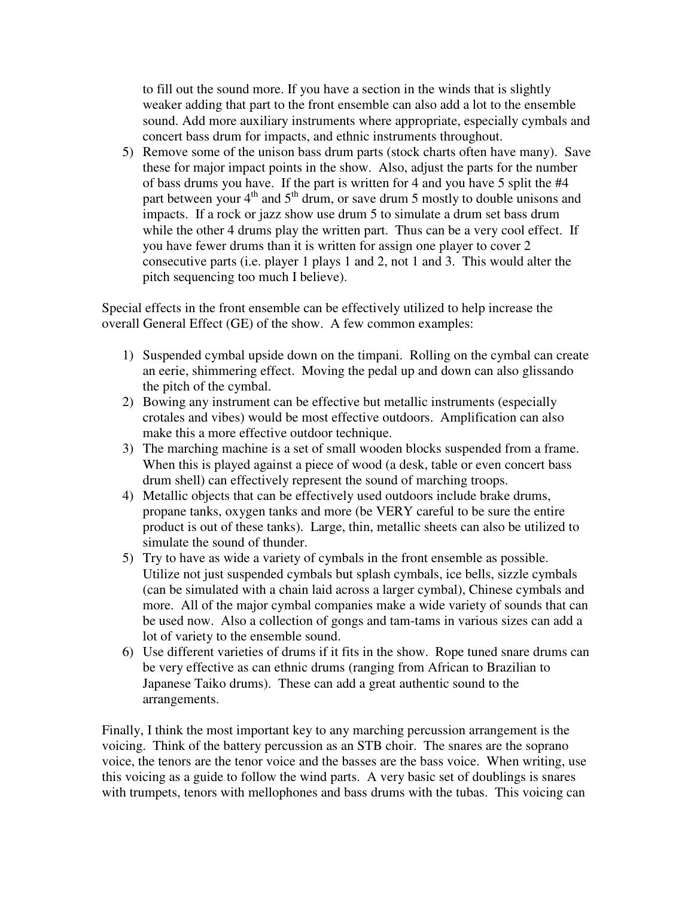to fill out the sound more. If you have a section in the winds that is slightly weaker adding that part to the front ensemble can also add a lot to the ensemble sound. Add more auxiliary instruments where appropriate, especially cymbals and concert bass drum for impacts, and ethnic instruments throughout.

5) Remove some of the unison bass drum parts (stock charts often have many). Save these for major impact points in the show. Also, adjust the parts for the number of bass drums you have. If the part is written for 4 and you have 5 split the #4 part between your  $4<sup>th</sup>$  and  $5<sup>th</sup>$  drum, or save drum 5 mostly to double unisons and impacts. If a rock or jazz show use drum 5 to simulate a drum set bass drum while the other 4 drums play the written part. Thus can be a very cool effect. If you have fewer drums than it is written for assign one player to cover 2 consecutive parts (i.e. player 1 plays 1 and 2, not 1 and 3. This would alter the pitch sequencing too much I believe).

Special effects in the front ensemble can be effectively utilized to help increase the overall General Effect (GE) of the show. A few common examples:

- 1) Suspended cymbal upside down on the timpani. Rolling on the cymbal can create an eerie, shimmering effect. Moving the pedal up and down can also glissando the pitch of the cymbal.
- 2) Bowing any instrument can be effective but metallic instruments (especially crotales and vibes) would be most effective outdoors. Amplification can also make this a more effective outdoor technique.
- 3) The marching machine is a set of small wooden blocks suspended from a frame. When this is played against a piece of wood (a desk, table or even concert bass drum shell) can effectively represent the sound of marching troops.
- 4) Metallic objects that can be effectively used outdoors include brake drums, propane tanks, oxygen tanks and more (be VERY careful to be sure the entire product is out of these tanks). Large, thin, metallic sheets can also be utilized to simulate the sound of thunder.
- 5) Try to have as wide a variety of cymbals in the front ensemble as possible. Utilize not just suspended cymbals but splash cymbals, ice bells, sizzle cymbals (can be simulated with a chain laid across a larger cymbal), Chinese cymbals and more. All of the major cymbal companies make a wide variety of sounds that can be used now. Also a collection of gongs and tam-tams in various sizes can add a lot of variety to the ensemble sound.
- 6) Use different varieties of drums if it fits in the show. Rope tuned snare drums can be very effective as can ethnic drums (ranging from African to Brazilian to Japanese Taiko drums). These can add a great authentic sound to the arrangements.

Finally, I think the most important key to any marching percussion arrangement is the voicing. Think of the battery percussion as an STB choir. The snares are the soprano voice, the tenors are the tenor voice and the basses are the bass voice. When writing, use this voicing as a guide to follow the wind parts. A very basic set of doublings is snares with trumpets, tenors with mellophones and bass drums with the tubas. This voicing can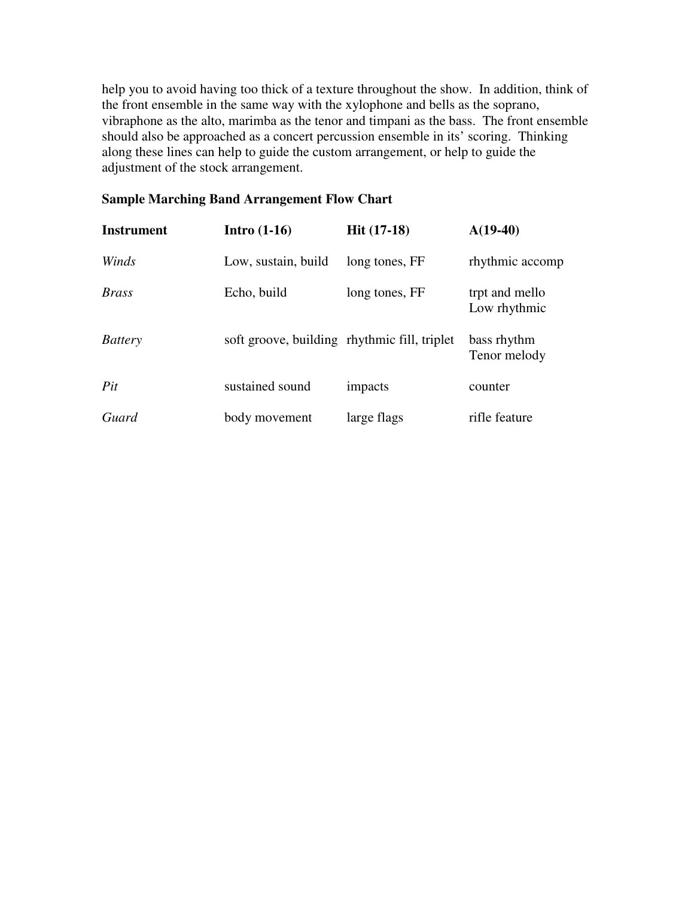help you to avoid having too thick of a texture throughout the show. In addition, think of the front ensemble in the same way with the xylophone and bells as the soprano, vibraphone as the alto, marimba as the tenor and timpani as the bass. The front ensemble should also be approached as a concert percussion ensemble in its' scoring. Thinking along these lines can help to guide the custom arrangement, or help to guide the adjustment of the stock arrangement.

# **Sample Marching Band Arrangement Flow Chart**

| Instrument     | Intro $(1-16)$                               | <b>Hit</b> $(17-18)$ | $A(19-40)$                     |
|----------------|----------------------------------------------|----------------------|--------------------------------|
| Winds          | Low, sustain, build                          | long tones, FF       | rhythmic accomp                |
| <b>Brass</b>   | Echo, build                                  | long tones, FF       | trpt and mello<br>Low rhythmic |
| <b>Battery</b> | soft groove, building rhythmic fill, triplet |                      | bass rhythm<br>Tenor melody    |
| Pit            | sustained sound                              | impacts              | counter                        |
| Guard          | body movement                                | large flags          | rifle feature                  |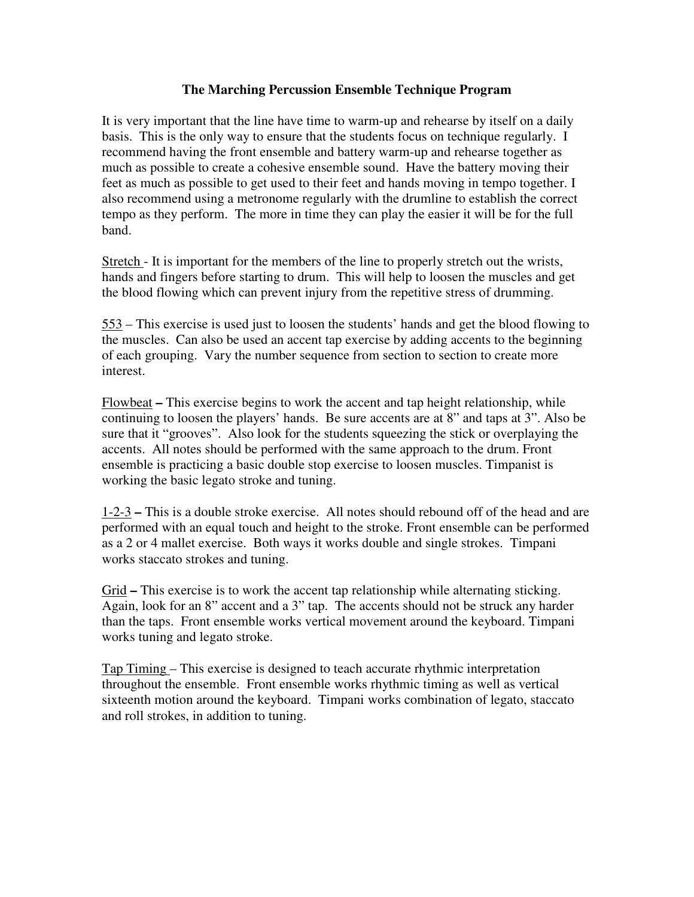## **The Marching Percussion Ensemble Technique Program**

It is very important that the line have time to warm-up and rehearse by itself on a daily basis. This is the only way to ensure that the students focus on technique regularly. I recommend having the front ensemble and battery warm-up and rehearse together as much as possible to create a cohesive ensemble sound. Have the battery moving their feet as much as possible to get used to their feet and hands moving in tempo together. I also recommend using a metronome regularly with the drumline to establish the correct tempo as they perform. The more in time they can play the easier it will be for the full band.

Stretch - It is important for the members of the line to properly stretch out the wrists, hands and fingers before starting to drum. This will help to loosen the muscles and get the blood flowing which can prevent injury from the repetitive stress of drumming.

553 – This exercise is used just to loosen the students' hands and get the blood flowing to the muscles. Can also be used an accent tap exercise by adding accents to the beginning of each grouping. Vary the number sequence from section to section to create more interest.

Flowbeat **–** This exercise begins to work the accent and tap height relationship, while continuing to loosen the players' hands. Be sure accents are at 8" and taps at 3". Also be sure that it "grooves". Also look for the students squeezing the stick or overplaying the accents. All notes should be performed with the same approach to the drum. Front ensemble is practicing a basic double stop exercise to loosen muscles. Timpanist is working the basic legato stroke and tuning.

1-2-3 **–** This is a double stroke exercise. All notes should rebound off of the head and are performed with an equal touch and height to the stroke. Front ensemble can be performed as a 2 or 4 mallet exercise. Both ways it works double and single strokes. Timpani works staccato strokes and tuning.

Grid **–** This exercise is to work the accent tap relationship while alternating sticking. Again, look for an 8" accent and a 3" tap. The accents should not be struck any harder than the taps. Front ensemble works vertical movement around the keyboard. Timpani works tuning and legato stroke.

Tap Timing – This exercise is designed to teach accurate rhythmic interpretation throughout the ensemble. Front ensemble works rhythmic timing as well as vertical sixteenth motion around the keyboard. Timpani works combination of legato, staccato and roll strokes, in addition to tuning.